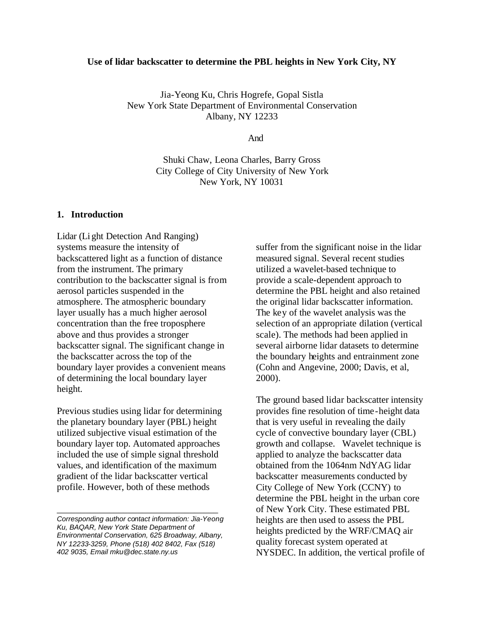#### **Use of lidar backscatter to determine the PBL heights in New York City, NY**

Jia-Yeong Ku, Chris Hogrefe, Gopal Sistla New York State Department of Environmental Conservation Albany, NY 12233

And

Shuki Chaw, Leona Charles, Barry Gross City College of City University of New York New York, NY 10031

## **1. Introduction**

Lidar (Li ght Detection And Ranging) systems measure the intensity of backscattered light as a function of distance from the instrument. The primary contribution to the backscatter signal is from aerosol particles suspended in the atmosphere. The atmospheric boundary layer usually has a much higher aerosol concentration than the free troposphere above and thus provides a stronger backscatter signal. The significant change in the backscatter across the top of the boundary layer provides a convenient means of determining the local boundary layer height.

Previous studies using lidar for determining the planetary boundary layer (PBL) height utilized subjective visual estimation of the boundary layer top. Automated approaches included the use of simple signal threshold values, and identification of the maximum gradient of the lidar backscatter vertical profile. However, both of these methods

\_\_\_\_\_\_\_\_\_\_\_\_\_\_\_\_\_\_\_\_\_\_\_\_\_\_\_\_\_\_\_\_\_\_

suffer from the significant noise in the lidar measured signal. Several recent studies utilized a wavelet-based technique to provide a scale-dependent approach to determine the PBL height and also retained the original lidar backscatter information. The key of the wavelet analysis was the selection of an appropriate dilation (vertical scale). The methods had been applied in several airborne lidar datasets to determine the boundary heights and entrainment zone (Cohn and Angevine, 2000; Davis, et al, 2000).

The ground based lidar backscatter intensity provides fine resolution of time-height data that is very useful in revealing the daily cycle of convective boundary layer (CBL) growth and collapse. Wavelet technique is applied to analyze the backscatter data obtained from the 1064nm NdYAG lidar backscatter measurements conducted by City College of New York (CCNY) to determine the PBL height in the urban core of New York City. These estimated PBL heights are then used to assess the PBL heights predicted by the WRF/CMAQ air quality forecast system operated at NYSDEC. In addition, the vertical profile of

*Corresponding author contact information: Jia-Yeong Ku, BAQAR, New York State Department of Environmental Conservation, 625 Broadway, Albany, NY 12233-3259, Phone (518) 402 8402, Fax (518) 402 9035, Email mku@dec.state.ny.us*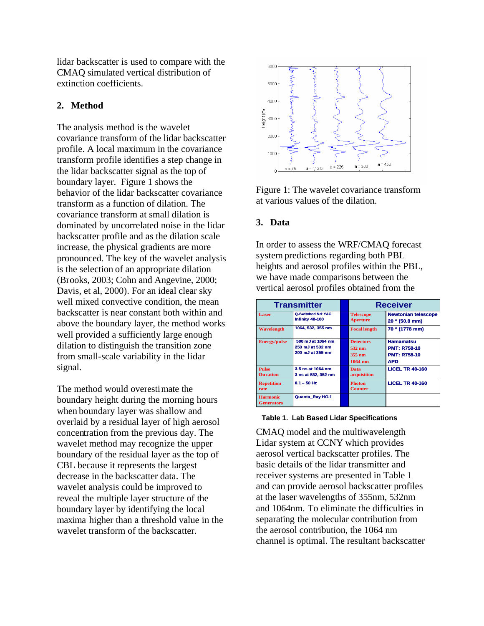lidar backscatter is used to compare with the CMAQ simulated vertical distribution of extinction coefficients.

# **2. Method**

The analysis method is the wavelet covariance transform of the lidar backscatter profile. A local maximum in the covariance transform profile identifies a step change in the lidar backscatter signal as the top of boundary layer. Figure 1 shows the behavior of the lidar backscatter covariance transform as a function of dilation. The covariance transform at small dilation is dominated by uncorrelated noise in the lidar backscatter profile and as the dilation scale increase, the physical gradients are more pronounced. The key of the wavelet analysis is the selection of an appropriate dilation (Brooks, 2003; Cohn and Angevine, 2000; Davis, et al, 2000). For an ideal clear sky well mixed convective condition, the mean backscatter is near constant both within and above the boundary layer, the method works well provided a sufficiently large enough dilation to distinguish the transition zone from small-scale variability in the lidar signal.

The method would overestimate the boundary height during the morning hours when boundary layer was shallow and overlaid by a residual layer of high aerosol concentration from the previous day. The wavelet method may recognize the upper boundary of the residual layer as the top of CBL because it represents the largest decrease in the backscatter data. The wavelet analysis could be improved to reveal the multiple layer structure of the boundary layer by identifying the local maxima higher than a threshold value in the wavelet transform of the backscatter.



Figure 1: The wavelet covariance transform at various values of the dilation.

## **3. Data**

In order to assess the WRF/CMAQ forecast system predictions regarding both PBL heights and aerosol profiles within the PBL, we have made comparisons between the vertical aerosol profiles obtained from the

| <b>Transmitter</b>                   |                                                           | <b>Receiver</b>                                   |                                                                              |
|--------------------------------------|-----------------------------------------------------------|---------------------------------------------------|------------------------------------------------------------------------------|
| Laser                                | <b>Q-Switched Nd: YAG</b><br>Infinity 40-100              | <b>Telescope</b><br><b>Aperture</b>               | <b>Newtonian telescope</b><br>20 " (50.8 mm)                                 |
| Wavelength                           | 1064, 532, 355 nm                                         | <b>Focal length</b>                               | 70 " (1778 mm)                                                               |
| <b>Energy/pulse</b>                  | 500 mJ at 1064 nm<br>250 mJ at 532 nm<br>200 mJ at 355 nm | <b>Detectors</b><br>532 nm<br>355 nm<br>$1064$ nm | <b>Hamamatsu</b><br><b>PMT: R758-10</b><br><b>PMT: R758-10</b><br><b>APD</b> |
| <b>Pulse</b><br><b>Duration</b>      | 3.5 ns at 1064 nm<br>3 ns at 532, 352 nm                  | Data<br>acquisition                               | <b>LICEL TR 40-160</b>                                                       |
| <b>Repetition</b><br>rate            | $0.1 - 50$ Hz                                             | <b>Photon</b><br><b>Counter</b>                   | <b>LICEL TR 40-160</b>                                                       |
| <b>Harmonic</b><br><b>Generators</b> | Quanta Ray HG-1                                           |                                                   |                                                                              |

#### **Table 1. Lab Based Lidar Specifications**

CMAQ model and the multiwavelength Lidar system at CCNY which provides aerosol vertical backscatter profiles. The basic details of the lidar transmitter and receiver systems are presented in Table 1 and can provide aerosol backscatter profiles at the laser wavelengths of 355nm, 532nm and 1064nm. To eliminate the difficulties in separating the molecular contribution from the aerosol contribution, the 1064 nm channel is optimal. The resultant backscatter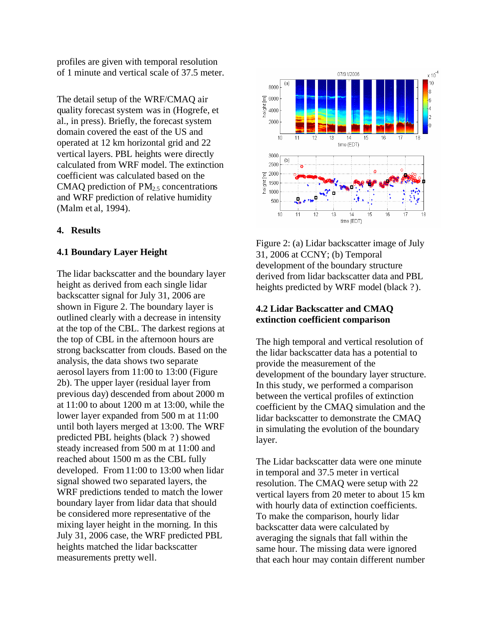profiles are given with temporal resolution of 1 minute and vertical scale of 37.5 meter.

The detail setup of the WRF/CMAQ air quality forecast system was in (Hogrefe, et al., in press). Briefly, the forecast system domain covered the east of the US and operated at 12 km horizontal grid and 22 vertical layers. PBL heights were directly calculated from WRF model. The extinction coefficient was calculated based on the CMAQ prediction of  $PM_{2.5}$  concentrations and WRF prediction of relative humidity (Malm et al, 1994).

## **4. Results**

## **4.1 Boundary Layer Height**

The lidar backscatter and the boundary layer height as derived from each single lidar backscatter signal for July 31, 2006 are shown in Figure 2. The boundary layer is outlined clearly with a decrease in intensity at the top of the CBL. The darkest regions at the top of CBL in the afternoon hours are strong backscatter from clouds. Based on the analysis, the data shows two separate aerosol layers from 11:00 to 13:00 (Figure 2b). The upper layer (residual layer from previous day) descended from about 2000 m at 11:00 to about 1200 m at 13:00, while the lower layer expanded from 500 m at 11:00 until both layers merged at 13:00. The WRF predicted PBL heights (black ?) showed steady increased from 500 m at 11:00 and reached about 1500 m as the CBL fully developed. From 11:00 to 13:00 when lidar signal showed two separated layers, the WRF predictions tended to match the lower boundary layer from lidar data that should be considered more representative of the mixing layer height in the morning. In this July 31, 2006 case, the WRF predicted PBL heights matched the lidar backscatter measurements pretty well.



Figure 2: (a) Lidar backscatter image of July 31, 2006 at CCNY; (b) Temporal development of the boundary structure derived from lidar backscatter data and PBL heights predicted by WRF model (black ?).

## **4.2 Lidar Backscatter and CMAQ extinction coefficient comparison**

The high temporal and vertical resolution of the lidar backscatter data has a potential to provide the measurement of the development of the boundary layer structure. In this study, we performed a comparison between the vertical profiles of extinction coefficient by the CMAQ simulation and the lidar backscatter to demonstrate the CMAQ in simulating the evolution of the boundary layer.

The Lidar backscatter data were one minute in temporal and 37.5 meter in vertical resolution. The CMAQ were setup with 22 vertical layers from 20 meter to about 15 km with hourly data of extinction coefficients. To make the comparison, hourly lidar backscatter data were calculated by averaging the signals that fall within the same hour. The missing data were ignored that each hour may contain different number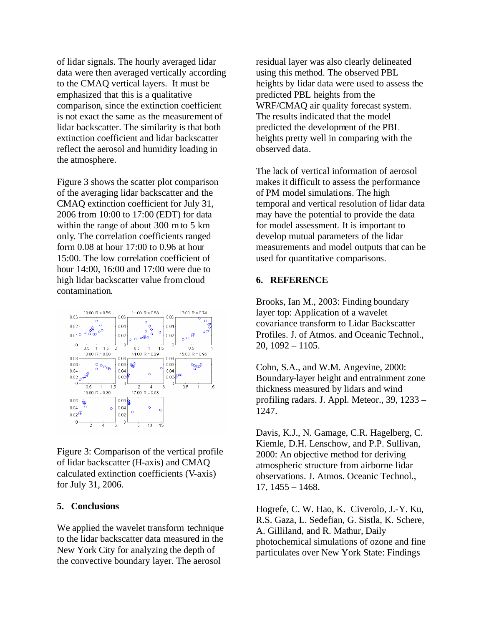of lidar signals. The hourly averaged lidar data were then averaged vertically according to the CMAQ vertical layers. It must be emphasized that this is a qualitative comparison, since the extinction coefficient is not exact the same as the measurement of lidar backscatter. The similarity is that both extinction coefficient and lidar backscatter reflect the aerosol and humidity loading in the atmosphere.

Figure 3 shows the scatter plot comparison of the averaging lidar backscatter and the CMAQ extinction coefficient for July 31, 2006 from 10:00 to 17:00 (EDT) for data within the range of about 300 m to 5 km only. The correlation coefficients ranged form 0.08 at hour 17:00 to 0.96 at hour 15:00. The low correlation coefficient of hour 14:00, 16:00 and 17:00 were due to high lidar backscatter value from cloud contamination.



Figure 3: Comparison of the vertical profile of lidar backscatter (H-axis) and CMAQ calculated extinction coefficients (V-axis) for July 31, 2006.

#### **5. Conclusions**

We applied the wavelet transform technique to the lidar backscatter data measured in the New York City for analyzing the depth of the convective boundary layer. The aerosol

residual layer was also clearly delineated using this method. The observed PBL heights by lidar data were used to assess the predicted PBL heights from the WRF/CMAQ air quality forecast system. The results indicated that the model predicted the development of the PBL heights pretty well in comparing with the observed data.

The lack of vertical information of aerosol makes it difficult to assess the performance of PM model simulations. The high temporal and vertical resolution of lidar data may have the potential to provide the data for model assessment. It is important to develop mutual parameters of the lidar measurements and model outputs that can be used for quantitative comparisons.

## **6. REFERENCE**

Brooks, Ian M., 2003: Finding boundary layer top: Application of a wavelet covariance transform to Lidar Backscatter Profiles. J. of Atmos. and Oceanic Technol., 20, 1092 – 1105.

Cohn, S.A., and W.M. Angevine, 2000: Boundary-layer height and entrainment zone thickness measured by lidars and wind profiling radars. J. Appl. Meteor., 39, 1233 – 1247.

Davis, K.J., N. Gamage, C.R. Hagelberg, C. Kiemle, D.H. Lenschow, and P.P. Sullivan, 2000: An objective method for deriving atmospheric structure from airborne lidar observations. J. Atmos. Oceanic Technol., 17, 1455 – 1468.

Hogrefe, C. W. Hao, K. Civerolo, J.-Y. Ku, R.S. Gaza, L. Sedefian, G. Sistla, K. Schere, A. Gilliland, and R. Mathur, Daily photochemical simulations of ozone and fine particulates over New York State: Findings